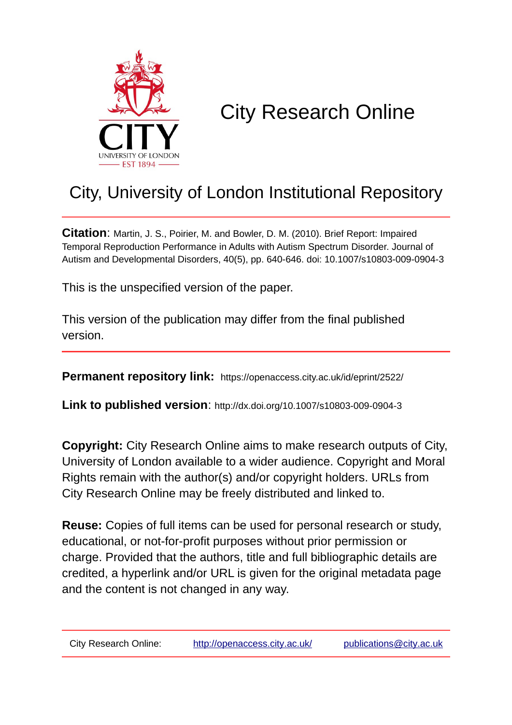

# City Research Online

## City, University of London Institutional Repository

**Citation**: Martin, J. S., Poirier, M. and Bowler, D. M. (2010). Brief Report: Impaired Temporal Reproduction Performance in Adults with Autism Spectrum Disorder. Journal of Autism and Developmental Disorders, 40(5), pp. 640-646. doi: 10.1007/s10803-009-0904-3

This is the unspecified version of the paper.

This version of the publication may differ from the final published version.

**Permanent repository link:** https://openaccess.city.ac.uk/id/eprint/2522/

**Link to published version**: http://dx.doi.org/10.1007/s10803-009-0904-3

**Copyright:** City Research Online aims to make research outputs of City, University of London available to a wider audience. Copyright and Moral Rights remain with the author(s) and/or copyright holders. URLs from City Research Online may be freely distributed and linked to.

**Reuse:** Copies of full items can be used for personal research or study, educational, or not-for-profit purposes without prior permission or charge. Provided that the authors, title and full bibliographic details are credited, a hyperlink and/or URL is given for the original metadata page and the content is not changed in any way.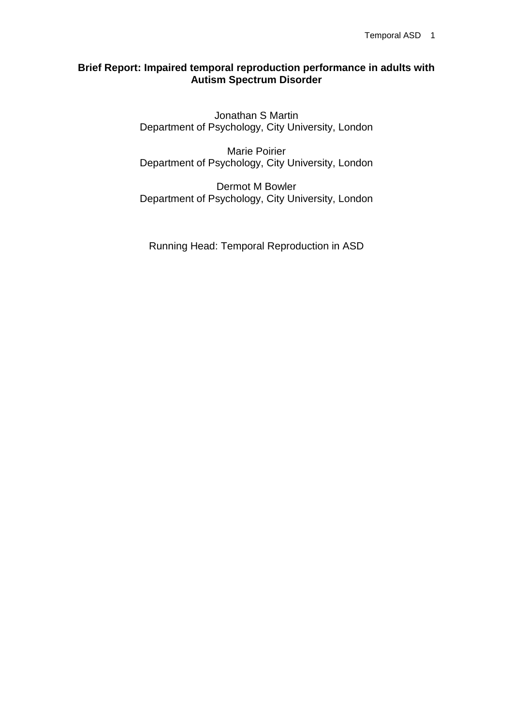#### **Brief Report: Impaired temporal reproduction performance in adults with Autism Spectrum Disorder**

Jonathan S Martin Department of Psychology, City University, London

Marie Poirier Department of Psychology, City University, London

Dermot M Bowler Department of Psychology, City University, London

Running Head: Temporal Reproduction in ASD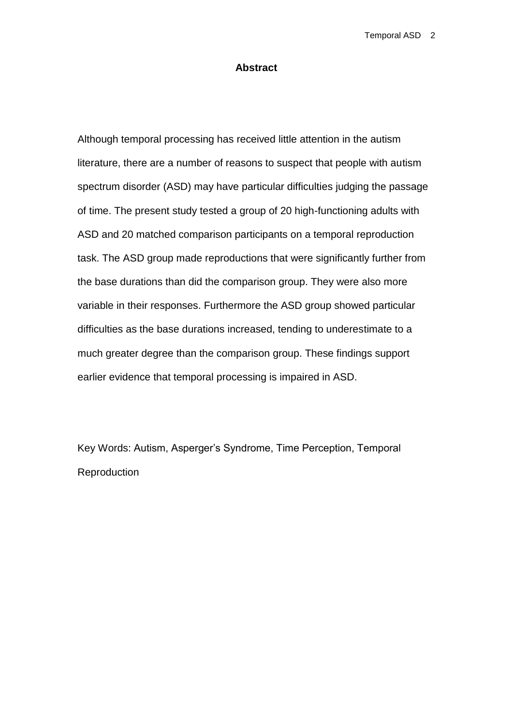#### **Abstract**

Although temporal processing has received little attention in the autism literature, there are a number of reasons to suspect that people with autism spectrum disorder (ASD) may have particular difficulties judging the passage of time. The present study tested a group of 20 high-functioning adults with ASD and 20 matched comparison participants on a temporal reproduction task. The ASD group made reproductions that were significantly further from the base durations than did the comparison group. They were also more variable in their responses. Furthermore the ASD group showed particular difficulties as the base durations increased, tending to underestimate to a much greater degree than the comparison group. These findings support earlier evidence that temporal processing is impaired in ASD.

Key Words: Autism, Asperger's Syndrome, Time Perception, Temporal Reproduction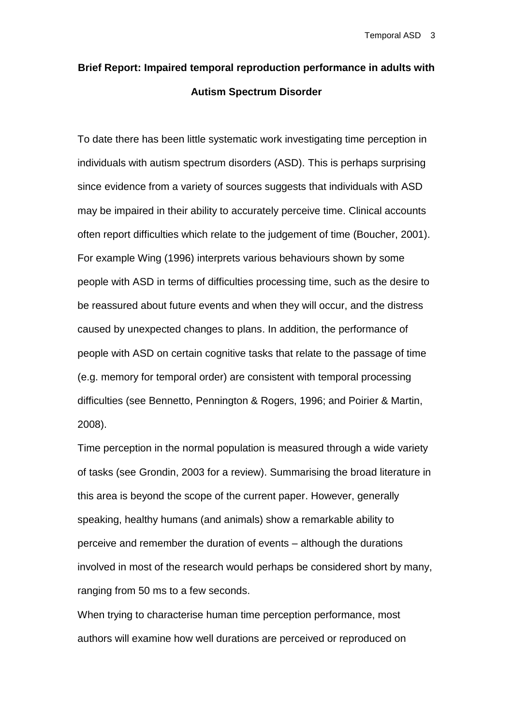### **Brief Report: Impaired temporal reproduction performance in adults with Autism Spectrum Disorder**

To date there has been little systematic work investigating time perception in individuals with autism spectrum disorders (ASD). This is perhaps surprising since evidence from a variety of sources suggests that individuals with ASD may be impaired in their ability to accurately perceive time. Clinical accounts often report difficulties which relate to the judgement of time (Boucher, 2001). For example Wing (1996) interprets various behaviours shown by some people with ASD in terms of difficulties processing time, such as the desire to be reassured about future events and when they will occur, and the distress caused by unexpected changes to plans. In addition, the performance of people with ASD on certain cognitive tasks that relate to the passage of time (e.g. memory for temporal order) are consistent with temporal processing difficulties (see Bennetto, Pennington & Rogers, 1996; and Poirier & Martin, 2008).

Time perception in the normal population is measured through a wide variety of tasks (see Grondin, 2003 for a review). Summarising the broad literature in this area is beyond the scope of the current paper. However, generally speaking, healthy humans (and animals) show a remarkable ability to perceive and remember the duration of events – although the durations involved in most of the research would perhaps be considered short by many, ranging from 50 ms to a few seconds.

When trying to characterise human time perception performance, most authors will examine how well durations are perceived or reproduced on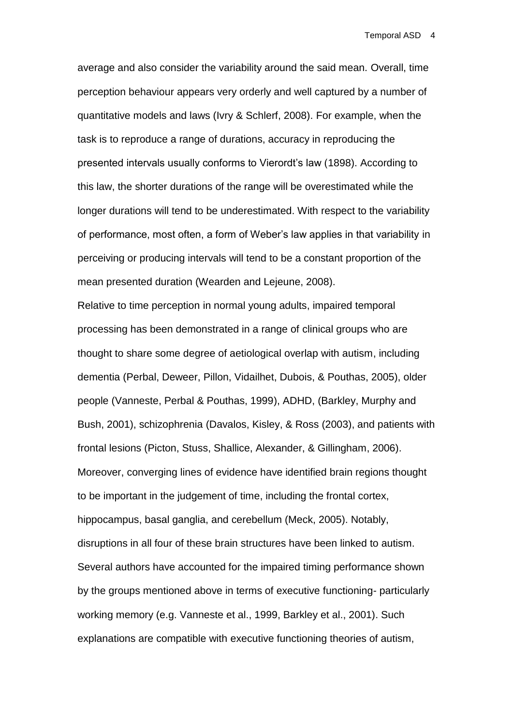average and also consider the variability around the said mean. Overall, time perception behaviour appears very orderly and well captured by a number of quantitative models and laws (Ivry & Schlerf, 2008). For example, when the task is to reproduce a range of durations, accuracy in reproducing the presented intervals usually conforms to Vierordt's law (1898). According to this law, the shorter durations of the range will be overestimated while the longer durations will tend to be underestimated. With respect to the variability of performance, most often, a form of Weber's law applies in that variability in perceiving or producing intervals will tend to be a constant proportion of the mean presented duration (Wearden and Lejeune, 2008).

Relative to time perception in normal young adults, impaired temporal processing has been demonstrated in a range of clinical groups who are thought to share some degree of aetiological overlap with autism, including dementia (Perbal, Deweer, Pillon, Vidailhet, Dubois, & Pouthas, 2005), older people (Vanneste, Perbal & Pouthas, 1999), ADHD, (Barkley, Murphy and Bush, 2001), schizophrenia (Davalos, Kisley, & Ross (2003), and patients with frontal lesions (Picton, Stuss, Shallice, Alexander, & Gillingham, 2006). Moreover, converging lines of evidence have identified brain regions thought to be important in the judgement of time, including the frontal cortex, hippocampus, basal ganglia, and cerebellum (Meck, 2005). Notably, disruptions in all four of these brain structures have been linked to autism. Several authors have accounted for the impaired timing performance shown by the groups mentioned above in terms of executive functioning- particularly working memory (e.g. Vanneste et al., 1999, Barkley et al., 2001). Such explanations are compatible with executive functioning theories of autism,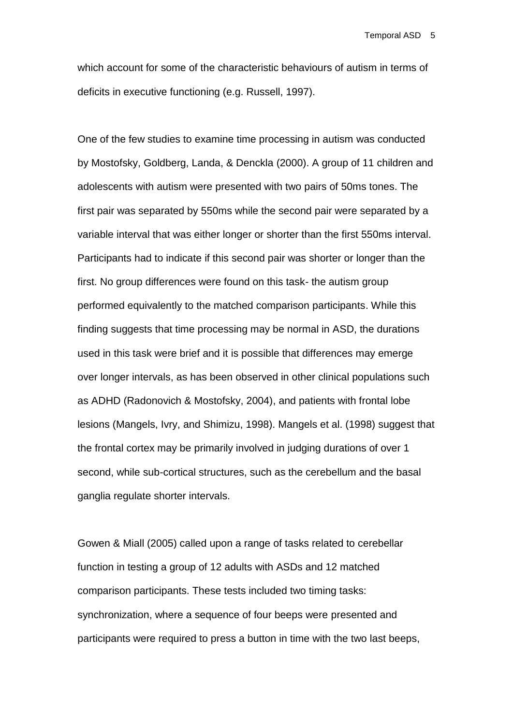Temporal ASD 5

which account for some of the characteristic behaviours of autism in terms of deficits in executive functioning (e.g. Russell, 1997).

One of the few studies to examine time processing in autism was conducted by Mostofsky, Goldberg, Landa, & Denckla (2000). A group of 11 children and adolescents with autism were presented with two pairs of 50ms tones. The first pair was separated by 550ms while the second pair were separated by a variable interval that was either longer or shorter than the first 550ms interval. Participants had to indicate if this second pair was shorter or longer than the first. No group differences were found on this task- the autism group performed equivalently to the matched comparison participants. While this finding suggests that time processing may be normal in ASD, the durations used in this task were brief and it is possible that differences may emerge over longer intervals, as has been observed in other clinical populations such as ADHD (Radonovich & Mostofsky, 2004), and patients with frontal lobe lesions (Mangels, Ivry, and Shimizu, 1998). Mangels et al. (1998) suggest that the frontal cortex may be primarily involved in judging durations of over 1 second, while sub-cortical structures, such as the cerebellum and the basal ganglia regulate shorter intervals.

Gowen & Miall (2005) called upon a range of tasks related to cerebellar function in testing a group of 12 adults with ASDs and 12 matched comparison participants. These tests included two timing tasks: synchronization, where a sequence of four beeps were presented and participants were required to press a button in time with the two last beeps,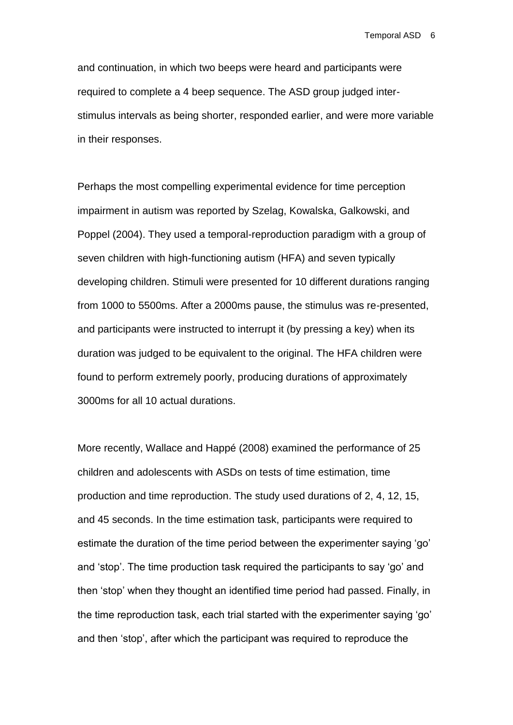Temporal ASD 6

and continuation, in which two beeps were heard and participants were required to complete a 4 beep sequence. The ASD group judged interstimulus intervals as being shorter, responded earlier, and were more variable in their responses.

Perhaps the most compelling experimental evidence for time perception impairment in autism was reported by Szelag, Kowalska, Galkowski, and Poppel (2004). They used a temporal-reproduction paradigm with a group of seven children with high-functioning autism (HFA) and seven typically developing children. Stimuli were presented for 10 different durations ranging from 1000 to 5500ms. After a 2000ms pause, the stimulus was re-presented, and participants were instructed to interrupt it (by pressing a key) when its duration was judged to be equivalent to the original. The HFA children were found to perform extremely poorly, producing durations of approximately 3000ms for all 10 actual durations.

More recently, Wallace and Happé (2008) examined the performance of 25 children and adolescents with ASDs on tests of time estimation, time production and time reproduction. The study used durations of 2, 4, 12, 15, and 45 seconds. In the time estimation task, participants were required to estimate the duration of the time period between the experimenter saying 'go' and 'stop'. The time production task required the participants to say 'go' and then 'stop' when they thought an identified time period had passed. Finally, in the time reproduction task, each trial started with the experimenter saying 'go' and then 'stop', after which the participant was required to reproduce the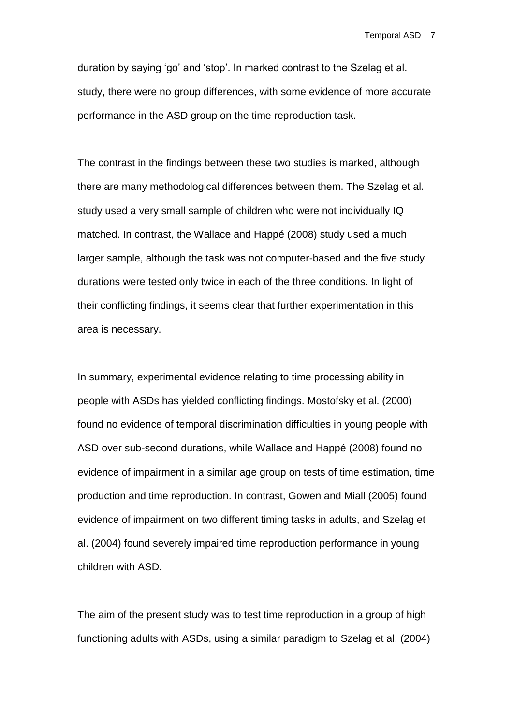Temporal ASD 7

duration by saying 'go' and 'stop'. In marked contrast to the Szelag et al. study, there were no group differences, with some evidence of more accurate performance in the ASD group on the time reproduction task.

The contrast in the findings between these two studies is marked, although there are many methodological differences between them. The Szelag et al. study used a very small sample of children who were not individually IQ matched. In contrast, the Wallace and Happé (2008) study used a much larger sample, although the task was not computer-based and the five study durations were tested only twice in each of the three conditions. In light of their conflicting findings, it seems clear that further experimentation in this area is necessary.

In summary, experimental evidence relating to time processing ability in people with ASDs has yielded conflicting findings. Mostofsky et al. (2000) found no evidence of temporal discrimination difficulties in young people with ASD over sub-second durations, while Wallace and Happé (2008) found no evidence of impairment in a similar age group on tests of time estimation, time production and time reproduction. In contrast, Gowen and Miall (2005) found evidence of impairment on two different timing tasks in adults, and Szelag et al. (2004) found severely impaired time reproduction performance in young children with ASD.

The aim of the present study was to test time reproduction in a group of high functioning adults with ASDs, using a similar paradigm to Szelag et al. (2004)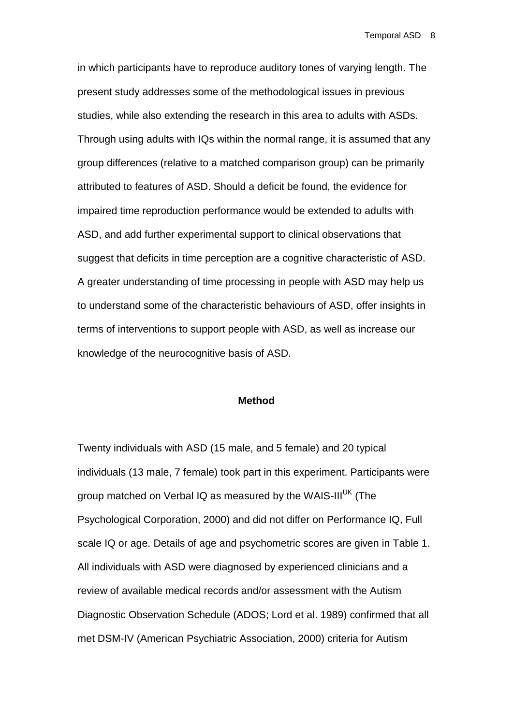in which participants have to reproduce auditory tones of varying length. The present study addresses some of the methodological issues in previous studies, while also extending the research in this area to adults with ASDs. Through using adults with IQs within the normal range, it is assumed that any group differences (relative to a matched comparison group) can be primarily attributed to features of ASD. Should a deficit be found, the evidence for impaired time reproduction performance would be extended to adults with ASD, and add further experimental support to clinical observations that suggest that deficits in time perception are a cognitive characteristic of ASD. A greater understanding of time processing in people with ASD may help us to understand some of the characteristic behaviours of ASD, offer insights in terms of interventions to support people with ASD, as well as increase our knowledge of the neurocognitive basis of ASD.

#### **Method**

Twenty individuals with ASD (15 male, and 5 female) and 20 typical individuals (13 male, 7 female) took part in this experiment. Participants were aroup matched on Verbal IQ as measured by the WAIS-III<sup>UK</sup> (The Psychological Corporation, 2000) and did not differ on Performance IQ, Full scale IQ or age. Details of age and psychometric scores are given in Table 1. All individuals with ASD were diagnosed by experienced clinicians and a review of available medical records and/or assessment with the Autism Diagnostic Observation Schedule (ADOS; Lord et al. 1989) confirmed that all met DSM-IV (American Psychiatric Association, 2000) criteria for Autism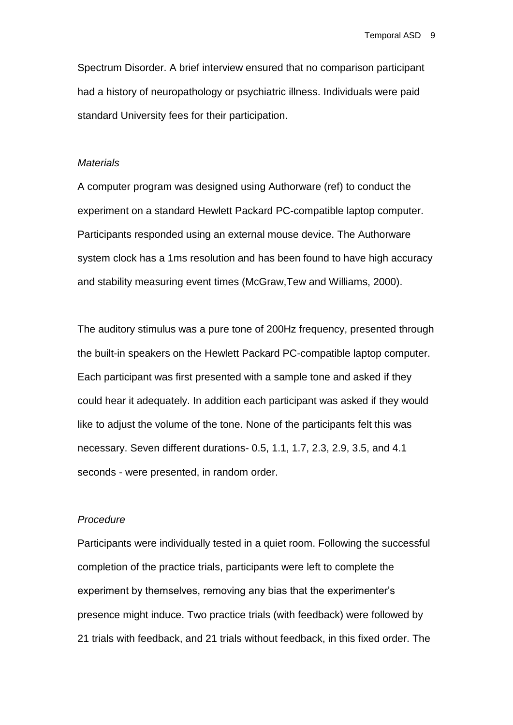Spectrum Disorder. A brief interview ensured that no comparison participant had a history of neuropathology or psychiatric illness. Individuals were paid standard University fees for their participation.

#### *Materials*

A computer program was designed using Authorware (ref) to conduct the experiment on a standard Hewlett Packard PC-compatible laptop computer. Participants responded using an external mouse device. The Authorware system clock has a 1ms resolution and has been found to have high accuracy and stability measuring event times (McGraw,Tew and Williams, 2000).

The auditory stimulus was a pure tone of 200Hz frequency, presented through the built-in speakers on the Hewlett Packard PC-compatible laptop computer. Each participant was first presented with a sample tone and asked if they could hear it adequately. In addition each participant was asked if they would like to adjust the volume of the tone. None of the participants felt this was necessary. Seven different durations- 0.5, 1.1, 1.7, 2.3, 2.9, 3.5, and 4.1 seconds - were presented, in random order.

#### *Procedure*

Participants were individually tested in a quiet room. Following the successful completion of the practice trials, participants were left to complete the experiment by themselves, removing any bias that the experimenter's presence might induce. Two practice trials (with feedback) were followed by 21 trials with feedback, and 21 trials without feedback, in this fixed order. The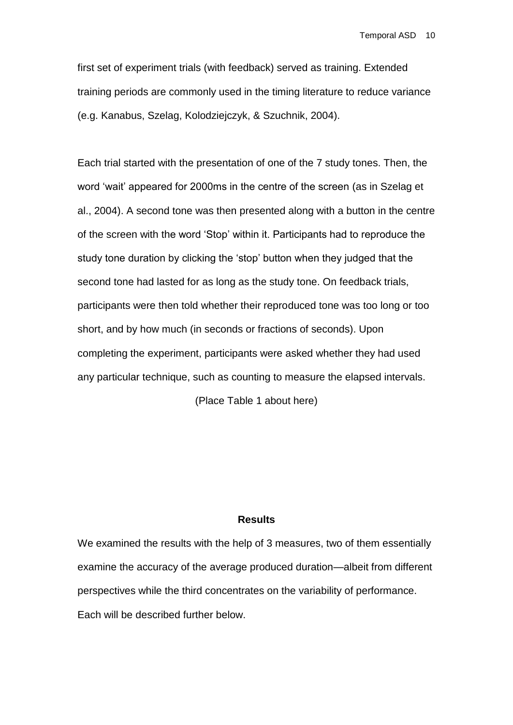first set of experiment trials (with feedback) served as training. Extended training periods are commonly used in the timing literature to reduce variance (e.g. Kanabus, Szelag, Kolodziejczyk, & Szuchnik, 2004).

Each trial started with the presentation of one of the 7 study tones. Then, the word 'wait' appeared for 2000ms in the centre of the screen (as in Szelag et al., 2004). A second tone was then presented along with a button in the centre of the screen with the word 'Stop' within it. Participants had to reproduce the study tone duration by clicking the 'stop' button when they judged that the second tone had lasted for as long as the study tone. On feedback trials, participants were then told whether their reproduced tone was too long or too short, and by how much (in seconds or fractions of seconds). Upon completing the experiment, participants were asked whether they had used any particular technique, such as counting to measure the elapsed intervals.

(Place Table 1 about here)

#### **Results**

We examined the results with the help of 3 measures, two of them essentially examine the accuracy of the average produced duration—albeit from different perspectives while the third concentrates on the variability of performance. Each will be described further below.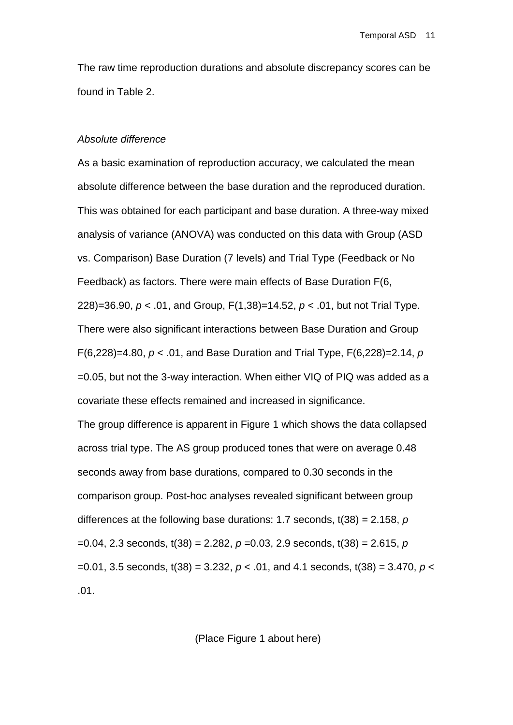The raw time reproduction durations and absolute discrepancy scores can be found in Table 2.

#### *Absolute difference*

As a basic examination of reproduction accuracy, we calculated the mean absolute difference between the base duration and the reproduced duration. This was obtained for each participant and base duration. A three-way mixed analysis of variance (ANOVA) was conducted on this data with Group (ASD vs. Comparison) Base Duration (7 levels) and Trial Type (Feedback or No Feedback) as factors. There were main effects of Base Duration F(6, 228)=36.90, *p* < .01, and Group, F(1,38)=14.52, *p* < .01, but not Trial Type. There were also significant interactions between Base Duration and Group F(6,228)=4.80, *p* < .01, and Base Duration and Trial Type, F(6,228)=2.14, *p* =0.05, but not the 3-way interaction. When either VIQ of PIQ was added as a covariate these effects remained and increased in significance. The group difference is apparent in Figure 1 which shows the data collapsed across trial type. The AS group produced tones that were on average 0.48 seconds away from base durations, compared to 0.30 seconds in the comparison group. Post-hoc analyses revealed significant between group differences at the following base durations: 1.7 seconds, t(38) = 2.158, *p*

=0.04, 2.3 seconds, t(38) = 2.282, *p* =0.03, 2.9 seconds, t(38) = 2.615, *p* =0.01, 3.5 seconds, t(38) = 3.232, *p* < .01, and 4.1 seconds, t(38) = 3.470, *p* < .01.

(Place Figure 1 about here)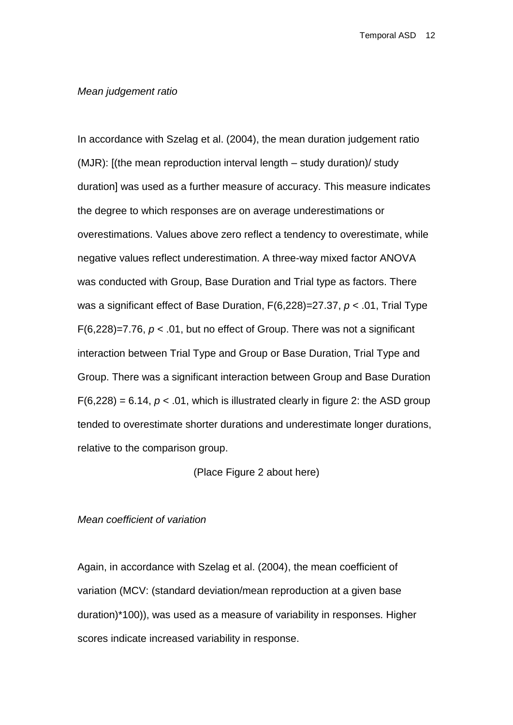#### *Mean judgement ratio*

In accordance with Szelag et al. (2004), the mean duration judgement ratio (MJR): [(the mean reproduction interval length – study duration)/ study duration] was used as a further measure of accuracy. This measure indicates the degree to which responses are on average underestimations or overestimations. Values above zero reflect a tendency to overestimate, while negative values reflect underestimation. A three-way mixed factor ANOVA was conducted with Group, Base Duration and Trial type as factors. There was a significant effect of Base Duration, F(6,228)=27.37, *p* < .01, Trial Type F(6,228)=7.76, *p* < .01, but no effect of Group. There was not a significant interaction between Trial Type and Group or Base Duration, Trial Type and Group. There was a significant interaction between Group and Base Duration  $F(6,228) = 6.14$ ,  $p < .01$ , which is illustrated clearly in figure 2: the ASD group tended to overestimate shorter durations and underestimate longer durations, relative to the comparison group.

(Place Figure 2 about here)

#### *Mean coefficient of variation*

Again, in accordance with Szelag et al. (2004), the mean coefficient of variation (MCV: (standard deviation/mean reproduction at a given base duration)\*100)), was used as a measure of variability in responses. Higher scores indicate increased variability in response.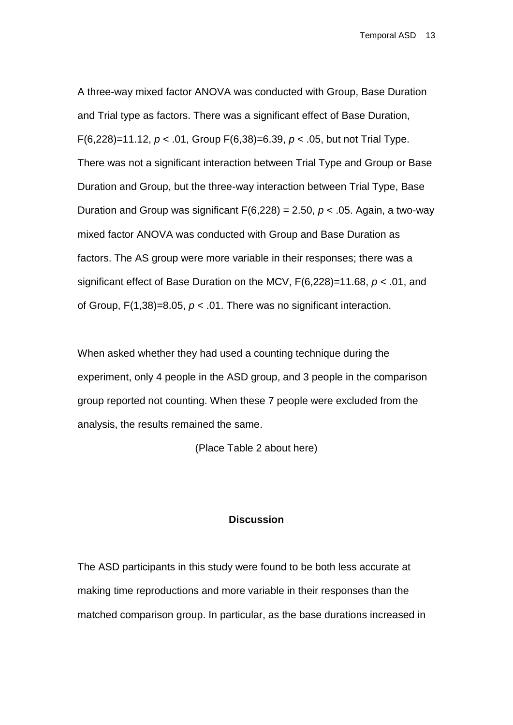A three-way mixed factor ANOVA was conducted with Group, Base Duration and Trial type as factors. There was a significant effect of Base Duration, F(6,228)=11.12, *p* < .01, Group F(6,38)=6.39, *p* < .05, but not Trial Type. There was not a significant interaction between Trial Type and Group or Base Duration and Group, but the three-way interaction between Trial Type, Base Duration and Group was significant  $F(6,228) = 2.50$ ,  $p < .05$ . Again, a two-way mixed factor ANOVA was conducted with Group and Base Duration as factors. The AS group were more variable in their responses; there was a significant effect of Base Duration on the MCV, F(6,228)=11.68, *p* < .01, and of Group,  $F(1,38)=8.05$ ,  $p < .01$ . There was no significant interaction.

When asked whether they had used a counting technique during the experiment, only 4 people in the ASD group, and 3 people in the comparison group reported not counting. When these 7 people were excluded from the analysis, the results remained the same.

(Place Table 2 about here)

#### **Discussion**

The ASD participants in this study were found to be both less accurate at making time reproductions and more variable in their responses than the matched comparison group. In particular, as the base durations increased in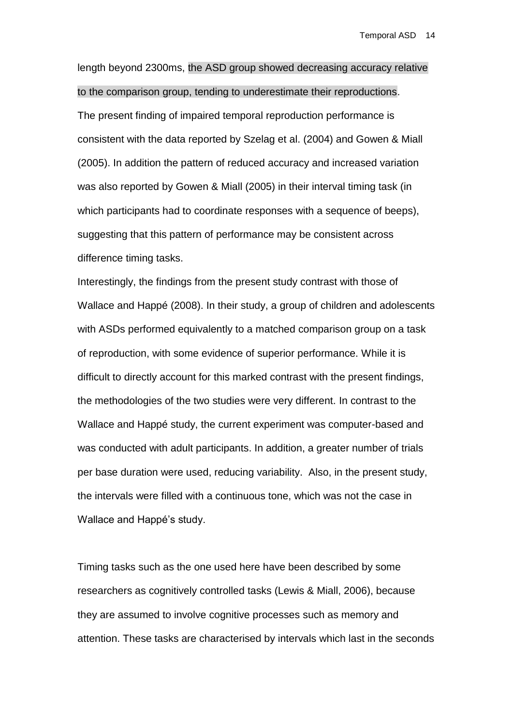length beyond 2300ms, the ASD group showed decreasing accuracy relative to the comparison group, tending to underestimate their reproductions. The present finding of impaired temporal reproduction performance is consistent with the data reported by Szelag et al. (2004) and Gowen & Miall (2005). In addition the pattern of reduced accuracy and increased variation was also reported by Gowen & Miall (2005) in their interval timing task (in which participants had to coordinate responses with a sequence of beeps), suggesting that this pattern of performance may be consistent across difference timing tasks.

Interestingly, the findings from the present study contrast with those of Wallace and Happé (2008). In their study, a group of children and adolescents with ASDs performed equivalently to a matched comparison group on a task of reproduction, with some evidence of superior performance. While it is difficult to directly account for this marked contrast with the present findings, the methodologies of the two studies were very different. In contrast to the Wallace and Happé study, the current experiment was computer-based and was conducted with adult participants. In addition, a greater number of trials per base duration were used, reducing variability. Also, in the present study, the intervals were filled with a continuous tone, which was not the case in Wallace and Happé's study.

Timing tasks such as the one used here have been described by some researchers as cognitively controlled tasks (Lewis & Miall, 2006), because they are assumed to involve cognitive processes such as memory and attention. These tasks are characterised by intervals which last in the seconds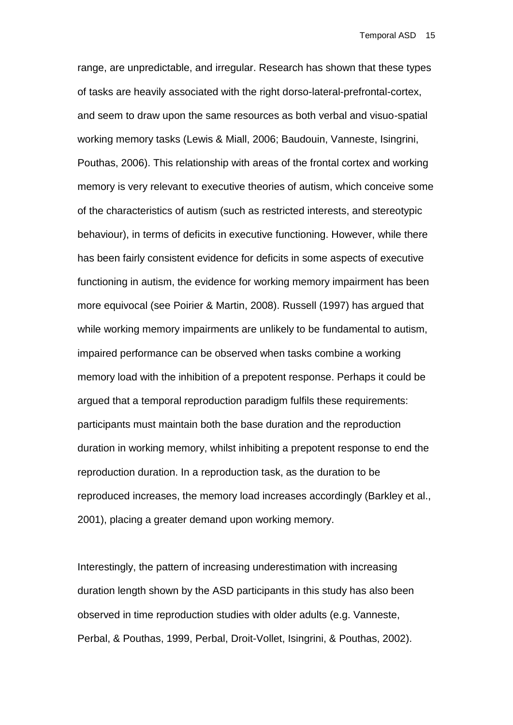range, are unpredictable, and irregular. Research has shown that these types of tasks are heavily associated with the right dorso-lateral-prefrontal-cortex, and seem to draw upon the same resources as both verbal and visuo-spatial working memory tasks (Lewis & Miall, 2006; Baudouin, Vanneste, Isingrini, Pouthas, 2006). This relationship with areas of the frontal cortex and working memory is very relevant to executive theories of autism, which conceive some of the characteristics of autism (such as restricted interests, and stereotypic behaviour), in terms of deficits in executive functioning. However, while there has been fairly consistent evidence for deficits in some aspects of executive functioning in autism, the evidence for working memory impairment has been more equivocal (see Poirier & Martin, 2008). Russell (1997) has argued that while working memory impairments are unlikely to be fundamental to autism, impaired performance can be observed when tasks combine a working memory load with the inhibition of a prepotent response. Perhaps it could be argued that a temporal reproduction paradigm fulfils these requirements: participants must maintain both the base duration and the reproduction duration in working memory, whilst inhibiting a prepotent response to end the reproduction duration. In a reproduction task, as the duration to be reproduced increases, the memory load increases accordingly (Barkley et al., 2001), placing a greater demand upon working memory.

Interestingly, the pattern of increasing underestimation with increasing duration length shown by the ASD participants in this study has also been observed in time reproduction studies with older adults (e.g. Vanneste, Perbal, & Pouthas, 1999, Perbal, Droit-Vollet, Isingrini, & Pouthas, 2002).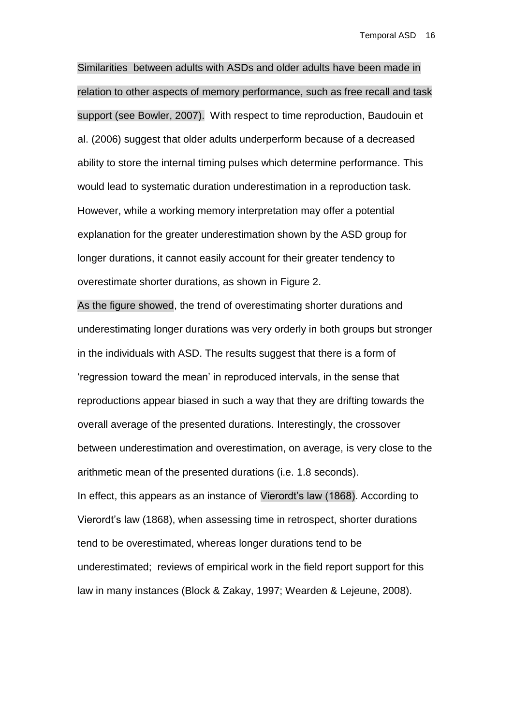Similarities between adults with ASDs and older adults have been made in relation to other aspects of memory performance, such as free recall and task support (see Bowler, 2007). With respect to time reproduction, Baudouin et al. (2006) suggest that older adults underperform because of a decreased ability to store the internal timing pulses which determine performance. This would lead to systematic duration underestimation in a reproduction task. However, while a working memory interpretation may offer a potential explanation for the greater underestimation shown by the ASD group for longer durations, it cannot easily account for their greater tendency to overestimate shorter durations, as shown in Figure 2.

As the figure showed, the trend of overestimating shorter durations and underestimating longer durations was very orderly in both groups but stronger in the individuals with ASD. The results suggest that there is a form of 'regression toward the mean' in reproduced intervals, in the sense that reproductions appear biased in such a way that they are drifting towards the overall average of the presented durations. Interestingly, the crossover between underestimation and overestimation, on average, is very close to the arithmetic mean of the presented durations (i.e. 1.8 seconds). In effect, this appears as an instance of Vierordt's law (1868). According to Vierordt's law (1868), when assessing time in retrospect, shorter durations tend to be overestimated, whereas longer durations tend to be underestimated; reviews of empirical work in the field report support for this law in many instances (Block & Zakay, 1997; Wearden & Lejeune, 2008).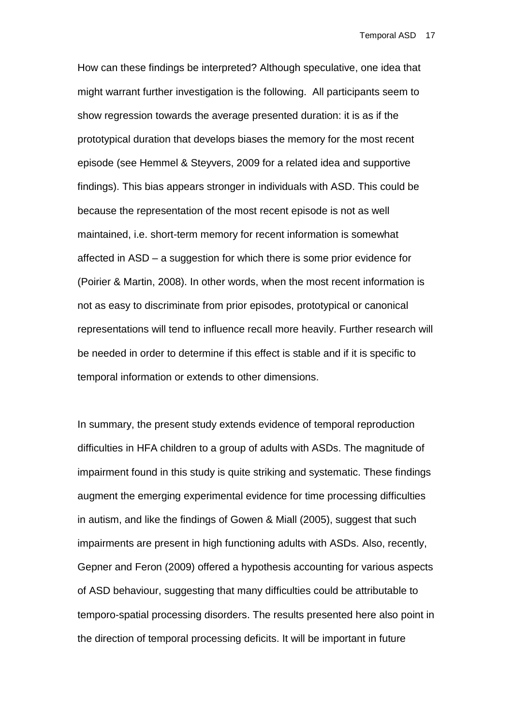How can these findings be interpreted? Although speculative, one idea that might warrant further investigation is the following. All participants seem to show regression towards the average presented duration: it is as if the prototypical duration that develops biases the memory for the most recent episode (see Hemmel & Steyvers, 2009 for a related idea and supportive findings). This bias appears stronger in individuals with ASD. This could be because the representation of the most recent episode is not as well maintained, i.e. short-term memory for recent information is somewhat affected in ASD – a suggestion for which there is some prior evidence for (Poirier & Martin, 2008). In other words, when the most recent information is not as easy to discriminate from prior episodes, prototypical or canonical representations will tend to influence recall more heavily. Further research will be needed in order to determine if this effect is stable and if it is specific to temporal information or extends to other dimensions.

In summary, the present study extends evidence of temporal reproduction difficulties in HFA children to a group of adults with ASDs. The magnitude of impairment found in this study is quite striking and systematic. These findings augment the emerging experimental evidence for time processing difficulties in autism, and like the findings of Gowen & Miall (2005), suggest that such impairments are present in high functioning adults with ASDs. Also, recently, Gepner and Feron (2009) offered a hypothesis accounting for various aspects of ASD behaviour, suggesting that many difficulties could be attributable to temporo-spatial processing disorders. The results presented here also point in the direction of temporal processing deficits. It will be important in future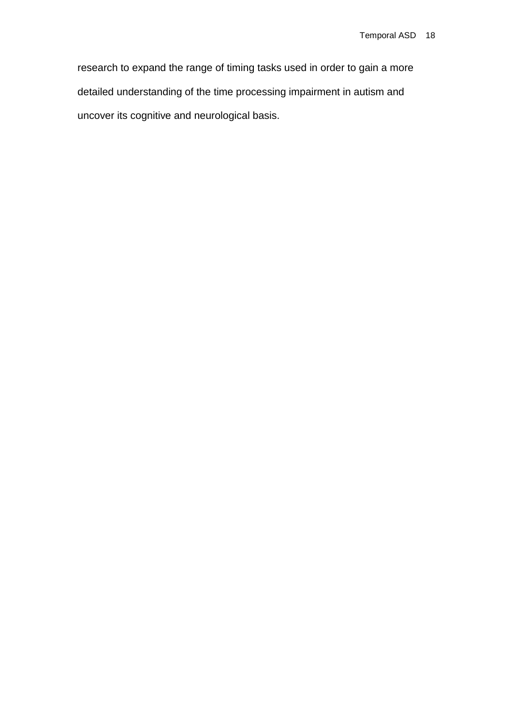research to expand the range of timing tasks used in order to gain a more detailed understanding of the time processing impairment in autism and uncover its cognitive and neurological basis.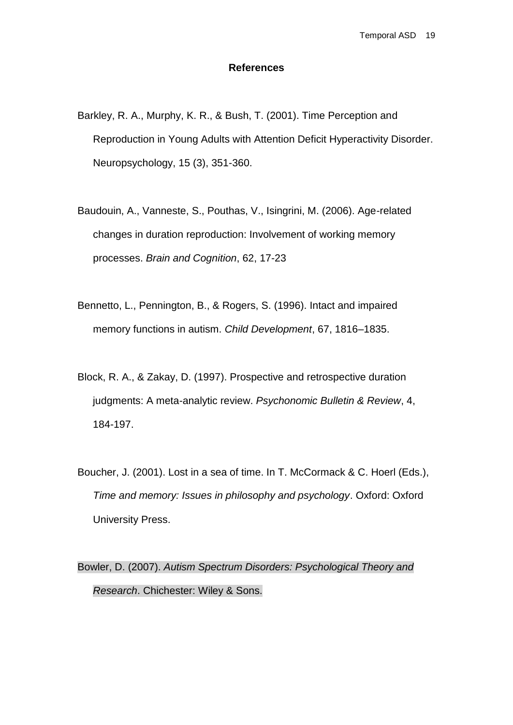#### **References**

- Barkley, R. A., Murphy, K. R., & Bush, T. (2001). Time Perception and Reproduction in Young Adults with Attention Deficit Hyperactivity Disorder. Neuropsychology, 15 (3), 351-360.
- Baudouin, A., Vanneste, S., Pouthas, V., Isingrini, M. (2006). Age-related changes in duration reproduction: Involvement of working memory processes. *Brain and Cognition*, 62, 17-23
- Bennetto, L., Pennington, B., & Rogers, S. (1996). Intact and impaired memory functions in autism. *Child Development*, 67, 1816–1835.
- Block, R. A., & Zakay, D. (1997). Prospective and retrospective duration judgments: A meta-analytic review. *Psychonomic Bulletin & Review*, 4, 184-197.
- Boucher, J. (2001). Lost in a sea of time. In T. McCormack & C. Hoerl (Eds.), *Time and memory: Issues in philosophy and psychology*. Oxford: Oxford University Press.

Bowler, D. (2007). *Autism Spectrum Disorders: Psychological Theory and Research*. Chichester: Wiley & Sons.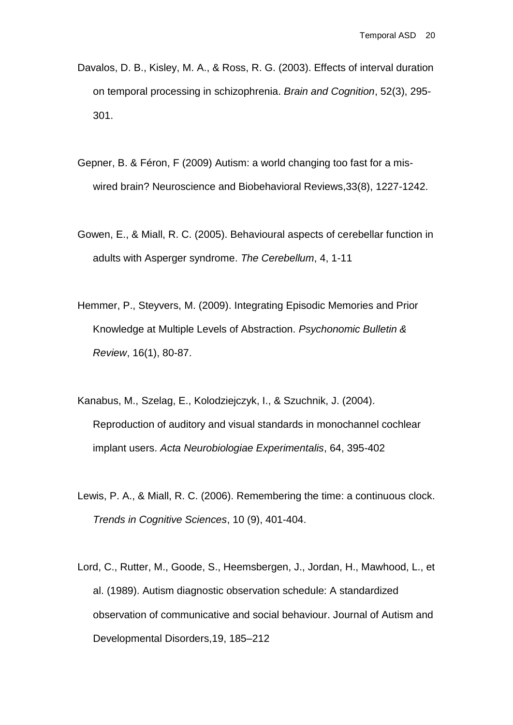- Davalos, D. B., Kisley, M. A., & Ross, R. G. (2003). Effects of interval duration on temporal processing in schizophrenia. *Brain and Cognition*, 52(3), 295- 301.
- Gepner, B. & Féron, F (2009) Autism: a world changing too fast for a miswired brain? Neuroscience and Biobehavioral Reviews,33(8), 1227-1242.
- Gowen, E., & Miall, R. C. (2005). Behavioural aspects of cerebellar function in adults with Asperger syndrome. *The Cerebellum*, 4, 1-11
- Hemmer, P., Steyvers, M. (2009). Integrating Episodic Memories and Prior Knowledge at Multiple Levels of Abstraction. *Psychonomic Bulletin & Review*, 16(1), 80-87.
- Kanabus, M., Szelag, E., Kolodziejczyk, I., & Szuchnik, J. (2004). Reproduction of auditory and visual standards in monochannel cochlear implant users. *Acta Neurobiologiae Experimentalis*, 64, 395-402
- Lewis, P. A., & Miall, R. C. (2006). Remembering the time: a continuous clock. *Trends in Cognitive Sciences*, 10 (9), 401-404.
- Lord, C., Rutter, M., Goode, S., Heemsbergen, J., Jordan, H., Mawhood, L., et al. (1989). Autism diagnostic observation schedule: A standardized observation of communicative and social behaviour. Journal of Autism and Developmental Disorders,19, 185–212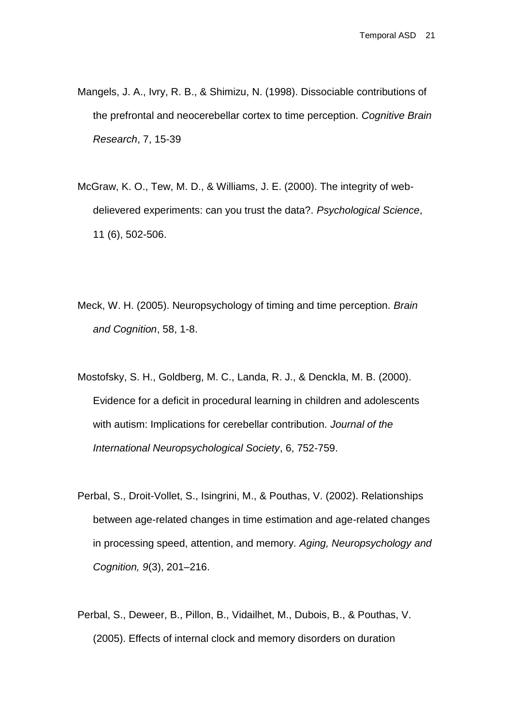- Mangels, J. A., Ivry, R. B., & Shimizu, N. (1998). Dissociable contributions of the prefrontal and neocerebellar cortex to time perception. *Cognitive Brain Research*, 7, 15-39
- McGraw, K. O., Tew, M. D., & Williams, J. E. (2000). The integrity of webdelievered experiments: can you trust the data?. *Psychological Science*, 11 (6), 502-506.
- Meck, W. H. (2005). Neuropsychology of timing and time perception. *Brain and Cognition*, 58, 1-8.
- Mostofsky, S. H., Goldberg, M. C., Landa, R. J., & Denckla, M. B. (2000). Evidence for a deficit in procedural learning in children and adolescents with autism: Implications for cerebellar contribution. *Journal of the International Neuropsychological Society*, 6, 752-759.
- Perbal, S., Droit-Vollet, S., Isingrini, M., & Pouthas, V. (2002). Relationships between age-related changes in time estimation and age-related changes in processing speed, attention, and memory. *Aging, Neuropsychology and Cognition, 9*(3), 201–216.
- Perbal, S., Deweer, B., Pillon, B., Vidailhet, M., Dubois, B., & Pouthas, V. (2005). Effects of internal clock and memory disorders on duration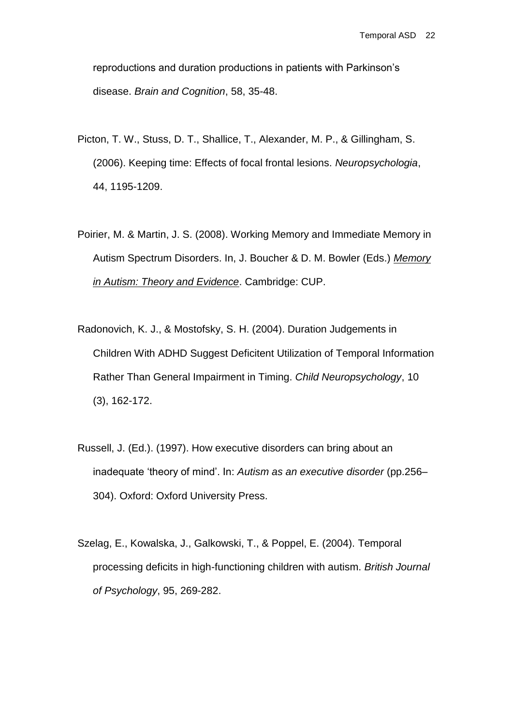reproductions and duration productions in patients with Parkinson's disease. *Brain and Cognition*, 58, 35-48.

- Picton, T. W., Stuss, D. T., Shallice, T., Alexander, M. P., & Gillingham, S. (2006). Keeping time: Effects of focal frontal lesions. *Neuropsychologia*, 44, 1195-1209.
- Poirier, M. & Martin, J. S. (2008). Working Memory and Immediate Memory in Autism Spectrum Disorders. In, J. Boucher & D. M. Bowler (Eds.) *Memory in Autism: Theory and Evidence*. Cambridge: CUP.
- Radonovich, K. J., & Mostofsky, S. H. (2004). Duration Judgements in Children With ADHD Suggest Deficitent Utilization of Temporal Information Rather Than General Impairment in Timing. *Child Neuropsychology*, 10 (3), 162-172.
- Russell, J. (Ed.). (1997). How executive disorders can bring about an inadequate 'theory of mind'. In: *Autism as an executive disorder* (pp.256– 304). Oxford: Oxford University Press.
- Szelag, E., Kowalska, J., Galkowski, T., & Poppel, E. (2004). Temporal processing deficits in high-functioning children with autism. *British Journal of Psychology*, 95, 269-282.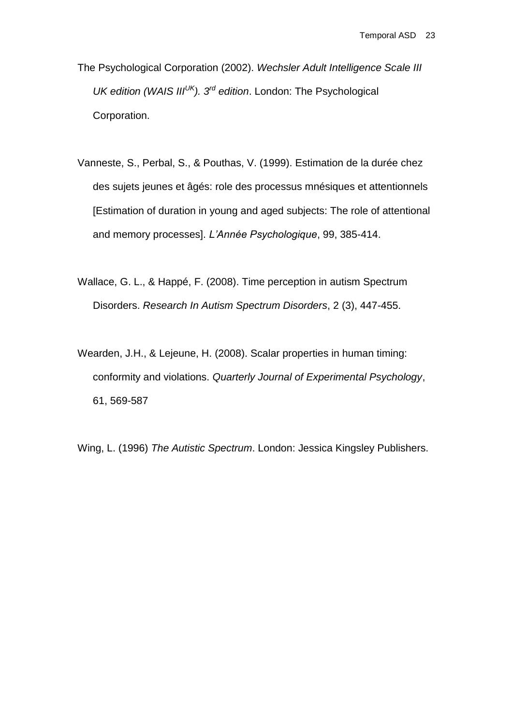The Psychological Corporation (2002). *Wechsler Adult Intelligence Scale III UK edition (WAIS IIIUK). 3rd edition*. London: The Psychological Corporation.

- Vanneste, S., Perbal, S., & Pouthas, V. (1999). Estimation de la durée chez des sujets jeunes et âgés: role des processus mnésiques et attentionnels [Estimation of duration in young and aged subjects: The role of attentional and memory processes]. *L'Année Psychologique*, 99, 385-414.
- Wallace, G. L., & Happé, F. (2008). Time perception in autism Spectrum Disorders. *Research In Autism Spectrum Disorders*, 2 (3), 447-455.
- Wearden, J.H., & Lejeune, H. (2008). Scalar properties in human timing: conformity and violations. *Quarterly Journal of Experimental Psychology*, 61, 569-587

Wing, L. (1996) *The Autistic Spectrum*. London: Jessica Kingsley Publishers.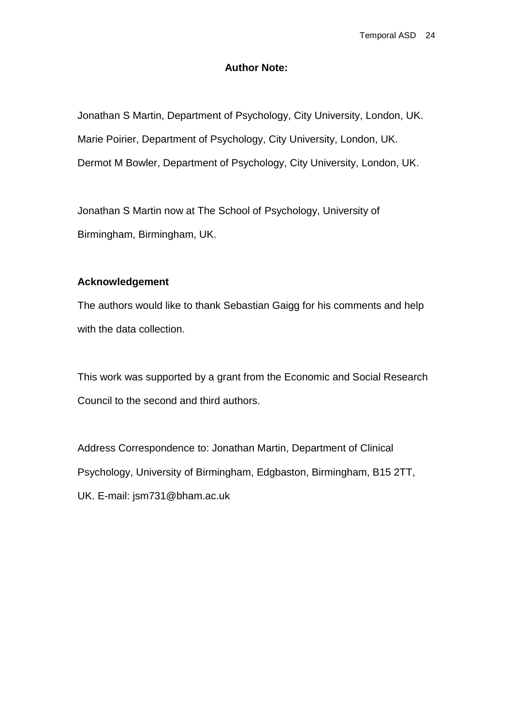#### **Author Note:**

Jonathan S Martin, Department of Psychology, City University, London, UK. Marie Poirier, Department of Psychology, City University, London, UK. Dermot M Bowler, Department of Psychology, City University, London, UK.

Jonathan S Martin now at The School of Psychology, University of Birmingham, Birmingham, UK.

#### **Acknowledgement**

The authors would like to thank Sebastian Gaigg for his comments and help with the data collection.

This work was supported by a grant from the Economic and Social Research Council to the second and third authors.

Address Correspondence to: Jonathan Martin, Department of Clinical Psychology, University of Birmingham, Edgbaston, Birmingham, B15 2TT, UK. E-mail: [jsm731@bham.ac.uk](mailto:jsm731@bham.ac.uk)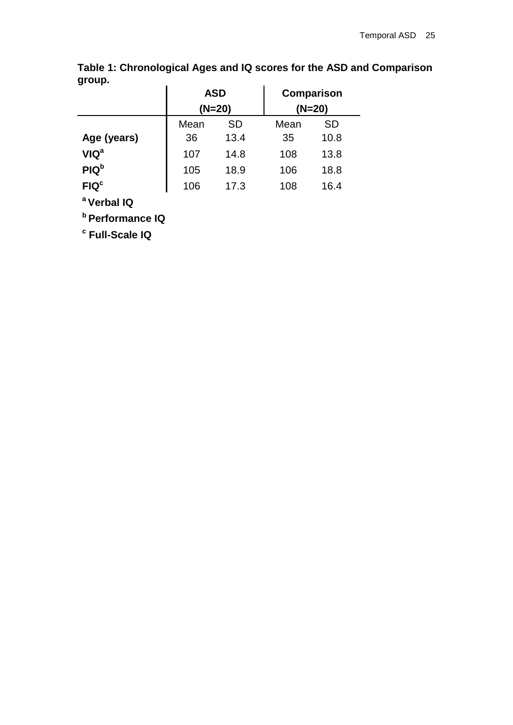| $5 - -$                |      | <b>ASD</b> |      | <b>Comparison</b> |  |
|------------------------|------|------------|------|-------------------|--|
|                        |      | $(N=20)$   |      | $(N=20)$          |  |
|                        | Mean | <b>SD</b>  | Mean | <b>SD</b>         |  |
| Age (years)            | 36   | 13.4       | 35   | 10.8              |  |
| <b>VIQ<sup>a</sup></b> | 107  | 14.8       | 108  | 13.8              |  |
| PIQ <sup>b</sup>       | 105  | 18.9       | 106  | 18.8              |  |
| FIQ <sup>c</sup>       | 106  | 17.3       | 108  | 16.4              |  |
|                        |      |            |      |                   |  |

**Table 1: Chronological Ages and IQ scores for the ASD and Comparison group.**

**<sup>a</sup>Verbal IQ** 

**<sup>b</sup>Performance IQ** 

**c Full-Scale IQ**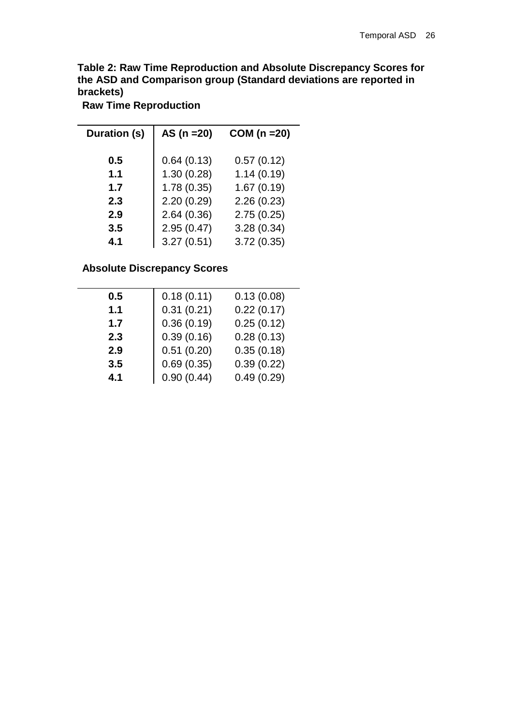**Table 2: Raw Time Reproduction and Absolute Discrepancy Scores for the ASD and Comparison group (Standard deviations are reported in brackets)**

**Raw Time Reproduction**

| Duration (s) | AS $(n = 20)$ | $COM(n=20)$ |
|--------------|---------------|-------------|
| 0.5          | 0.64(0.13)    | 0.57(0.12)  |
| 1.1          | 1.30(0.28)    | 1.14(0.19)  |
| 1.7          | 1.78(0.35)    | 1.67(0.19)  |
| 2.3          | 2.20(0.29)    | 2.26(0.23)  |
| 2.9          | 2.64(0.36)    | 2.75(0.25)  |
| 3.5          | 2.95(0.47)    | 3.28(0.34)  |
| 4.1          | 3.27(0.51)    | 3.72(0.35)  |

#### **Absolute Discrepancy Scores**

| 0.18(0.11) | 0.13(0.08) |
|------------|------------|
| 0.31(0.21) | 0.22(0.17) |
| 0.36(0.19) | 0.25(0.12) |
| 0.39(0.16) | 0.28(0.13) |
| 0.51(0.20) | 0.35(0.18) |
| 0.69(0.35) | 0.39(0.22) |
| 0.90(0.44) | 0.49(0.29) |
|            |            |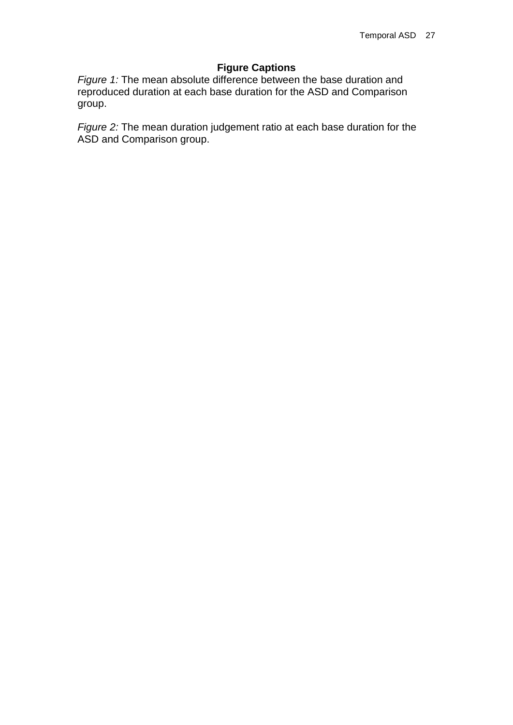#### **Figure Captions**

*Figure 1:* The mean absolute difference between the base duration and reproduced duration at each base duration for the ASD and Comparison group.

*Figure 2:* The mean duration judgement ratio at each base duration for the ASD and Comparison group.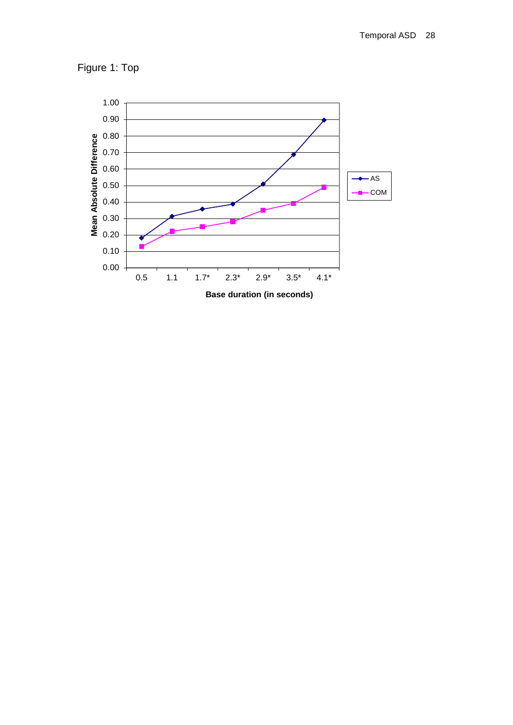